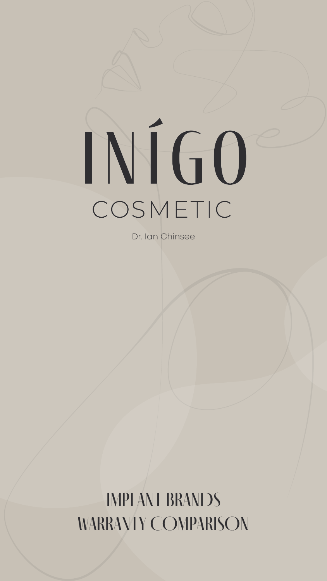# COSMETIC

Dr. Ian Chinsee

IMPLANT BRANDS WARRANTY COMPARISON

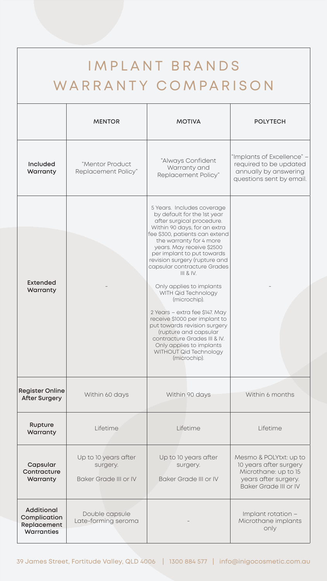| IMPLANT BRANDS<br>WARRANTY COMPARISON                                        |                                                           |                                                                                                                                                                                                                                                                                                                                                                                                                                                                                                                                                                                                                                  |                                                                                                                                  |  |
|------------------------------------------------------------------------------|-----------------------------------------------------------|----------------------------------------------------------------------------------------------------------------------------------------------------------------------------------------------------------------------------------------------------------------------------------------------------------------------------------------------------------------------------------------------------------------------------------------------------------------------------------------------------------------------------------------------------------------------------------------------------------------------------------|----------------------------------------------------------------------------------------------------------------------------------|--|
|                                                                              | <b>MENTOR</b>                                             | <b>MOTIVA</b>                                                                                                                                                                                                                                                                                                                                                                                                                                                                                                                                                                                                                    | <b>POLYTECH</b>                                                                                                                  |  |
| <b>Included</b><br>Warranty                                                  | "Mentor Product<br>Replacement Policy"                    | "Always Confident<br>Warranty and<br>Replacement Policy"                                                                                                                                                                                                                                                                                                                                                                                                                                                                                                                                                                         | "Implants of Excellence" –<br>required to be updated<br>annually by answering<br>questions sent by email.                        |  |
| <b>Extended</b><br>Warranty                                                  |                                                           | 5 Years. Includes coverage<br>by default for the 1st year<br>after surgical procedure.<br>Within 90 days, for an extra<br>fee \$300, patients can extend<br>the warranty for 4 more<br>years. May receive \$2500<br>per implant to put towards<br>revision surgery (rupture and<br>capsular contracture Grades<br>III & IV.<br>Only applies to implants<br>WITH Qid Technology<br>(microchip).<br>2 Years - extra fee \$147. May<br>receive \$1000 per implant to<br>put towards revision surgery<br>(rupture and capsular<br>contracture Grades III & IV.<br>Only applies to implants<br>WITHOUT Qid Technology<br>(microchip). |                                                                                                                                  |  |
| <b>Register Online</b><br><b>After Surgery</b>                               | Within 60 days                                            | Within 90 days                                                                                                                                                                                                                                                                                                                                                                                                                                                                                                                                                                                                                   | Within 6 months                                                                                                                  |  |
| <b>Rupture</b><br>Warranty                                                   | Lifetime                                                  | Lifetime                                                                                                                                                                                                                                                                                                                                                                                                                                                                                                                                                                                                                         | Lifetime                                                                                                                         |  |
| Capsular<br>Contracture<br>Warranty                                          | Up to 10 years after<br>surgery.<br>Baker Grade III or IV | Up to 10 years after<br>surgery.<br>Baker Grade III or IV                                                                                                                                                                                                                                                                                                                                                                                                                                                                                                                                                                        | Mesmo & POLYtxt: up to<br>10 years after surgery<br>Microthane: up to 15<br>years after surgery.<br><b>Baker Grade III or IV</b> |  |
| <b>Additional</b><br>Complication<br><b>Replacement</b><br><b>Warranties</b> | Double capsule<br>Late-forming seroma                     |                                                                                                                                                                                                                                                                                                                                                                                                                                                                                                                                                                                                                                  | Implant rotation -<br>Microthane implants<br>only                                                                                |  |

#### 39 James Street, Fortitude Valley, QLD 4006 | 1300 884 577 | info@inigocosmetic.com.au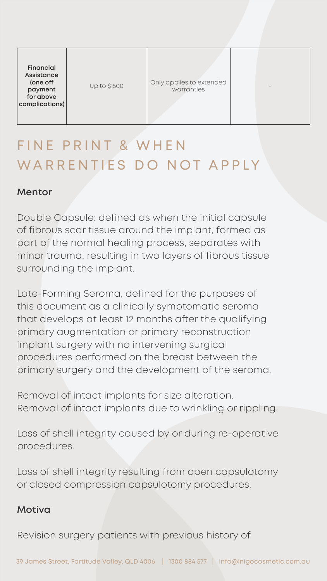| <b>Financial</b><br><b>Assistance</b><br>(one off<br>payment<br>for above<br>complications) | <b>Up to \$1500</b> | Only applies to extended<br>warranties | $\overline{\phantom{m}}$ |
|---------------------------------------------------------------------------------------------|---------------------|----------------------------------------|--------------------------|
|---------------------------------------------------------------------------------------------|---------------------|----------------------------------------|--------------------------|

## FINE PRINT & WHEN WARRENTIES DO NOT APPLY

#### **Mentor**

Double Capsule: defined as when the initial capsule of fibrous scar tissue around the implant, formed as part of the normal healing process, separates with minor trauma, resulting in two layers of fibrous tissue surrounding the implant.

Late-Forming Seroma, defined for the purposes of this document as a clinically symptomatic seroma that develops at least 12 months after the qualifying primary augmentation or primary reconstruction implant surgery with no intervening surgical procedures performed on the breast between the primary surgery and the development of the seroma.

Removal of intact implants for size alteration. Removal of intact implants due to wrinkling or rippling.

Loss of shell integrity caused by or during re-operative procedures.

Loss of shell integrity resulting from open capsulotomy or closed compression capsulotomy procedures.

### **Motiva**

Revision surgery patients with previous history of

#### 39 James Street, Fortitude Valley, QLD 4006 | 1300 884 577 | info@inigocosmetic.com.au